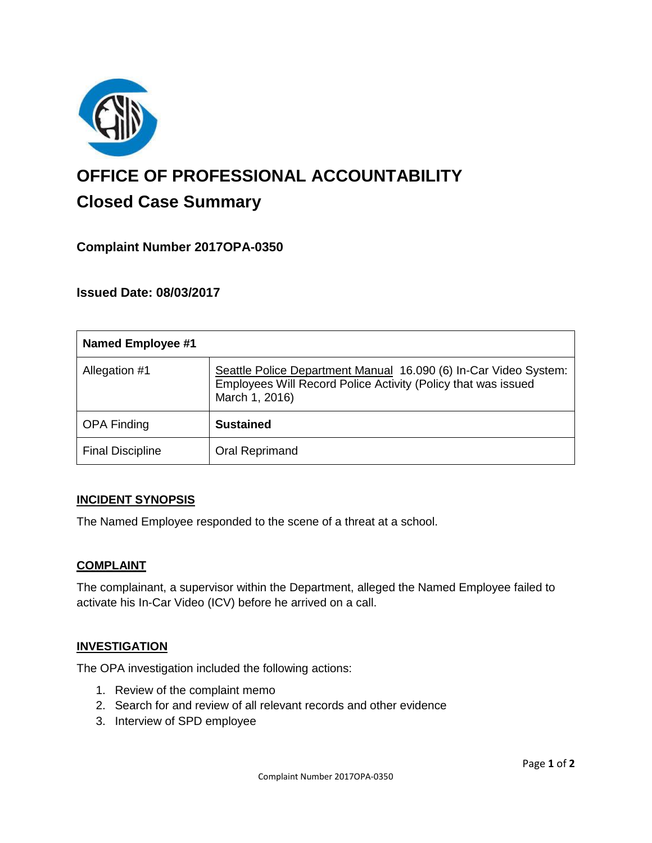

# **OFFICE OF PROFESSIONAL ACCOUNTABILITY Closed Case Summary**

# **Complaint Number 2017OPA-0350**

**Issued Date: 08/03/2017**

| <b>Named Employee #1</b> |                                                                                                                                                     |
|--------------------------|-----------------------------------------------------------------------------------------------------------------------------------------------------|
| Allegation #1            | Seattle Police Department Manual 16.090 (6) In-Car Video System:<br>Employees Will Record Police Activity (Policy that was issued<br>March 1, 2016) |
| <b>OPA Finding</b>       | <b>Sustained</b>                                                                                                                                    |
| <b>Final Discipline</b>  | Oral Reprimand                                                                                                                                      |

#### **INCIDENT SYNOPSIS**

The Named Employee responded to the scene of a threat at a school.

## **COMPLAINT**

The complainant, a supervisor within the Department, alleged the Named Employee failed to activate his In-Car Video (ICV) before he arrived on a call.

#### **INVESTIGATION**

The OPA investigation included the following actions:

- 1. Review of the complaint memo
- 2. Search for and review of all relevant records and other evidence
- 3. Interview of SPD employee